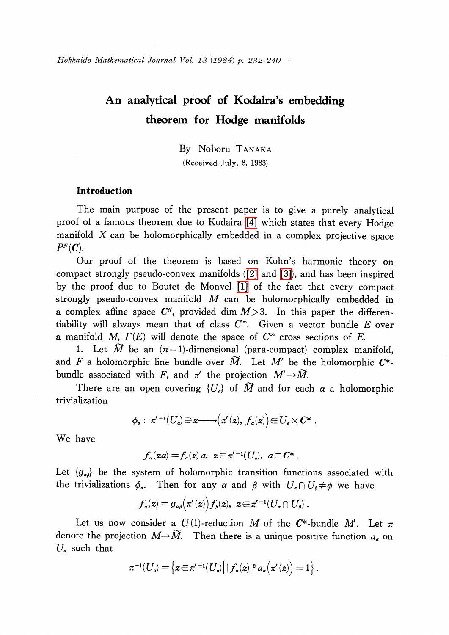## An analytical proof of Kodaira's embedding theorem for Hodge manifolds

By Noboru TANAKA (Received July, 8, 1983)

## Introduction

The main purpose of the present paper is to give a purely analytical proof of a famous theorem due to Kodaira [\[4\]](#page-8-0) which states that every Hodge manifold X can be holomorphically embedded in a complex projective space  $P^{N}(\mathbf{C}).$ 

Our proof of the theorem is based on Kohn's harmonic theory on compact strongly pseud0-convex manifolds [\(\[2\]](#page-8-1) and [\[3\]\)](#page-8-2), and has been inspired by the proof due to Boutet de Monvel [\[1\]](#page-8-3) of the fact that every compact strongly pseudo-convex manifold  $M$  can be holomorphically embedded in a complex affine space  $\textbf{\emph{C}}^{N},$  provided dim  $M\!\!>\!3.$  In this paper the differentiability will always mean that of class  $C^{\infty}$ . Given a vector bundle  $E$  over a manifold M,  $\Gamma(E)$  will denote the space of  $C^{\infty}$  cross sections of E.

1. Let  $\widetilde{M}$  be an  $(n - 1)$ -dimensional (para-compact) complex manifold, and F a holomorphic line bundle over  $\widetilde{M}$ . Let  $M'$  be the holomorphic  $C^{*}$ bundle associated with F, and  $\pi'$  the projection  $M'\rightarrow\!\tilde{M}$ .

There are an open covering  $\{U_{\alpha}\}\$  of  $\widetilde{M}$  and for each  $\alpha$  a holomorphic triviali zation

$$
\phi_{\alpha}: \; \pi'^{-1}(U_{\alpha}) \negthinspace \ni \negthinspace z \negthinspace \longrightarrow \negthinspace \big( \pi'(z), \, f_{\alpha}(z) \big) \negthinspace \in \negthinspace U_{\alpha} \negthinspace \times \negthinspace \mathbf{C}^* \; .
$$

We have

$$
f_{\alpha}(za) = f_{\alpha}(z) a, \ z \in \pi'^{-1}(U_{\alpha}), \ a \in \mathbb{C}^*.
$$

Let  $\{g_{\alpha\beta}\}$  be the system of holomorphic transition functions associated with the trivializations  $\phi_{\alpha}$ . Then for any  $\alpha$  and  $\beta$  with  $U_{\alpha}\cap U_{\beta}\neq\phi$  we have

$$
f_{\scriptscriptstyle \alpha} (z) = g_{\scriptscriptstyle \alpha\beta} \bigl(\pi'(z)\bigr) f_{\scriptscriptstyle \beta} (z), \ \ z \negthinspace \in \negthinspace \pi'^{-1} (U_{\scriptscriptstyle \alpha} \cap U_{\scriptscriptstyle \beta}) \ .
$$

Let us now consider a  $U(1)$ -reduction M of the C<sup>\*</sup>-bundle M'. Let  $\pi$ denote the projection  $M\!\!\rightarrow\!\!M$ . Then there is a unique positive function  $a_{\alpha}$  on  $U_{\alpha}$  such that

$$
\pi^{-1}(U_{\alpha})=\left\{z\in\pi'^{-1}(U_{\alpha})\big| |f_{\alpha}(z)|^2 a_{\alpha}\big(\pi'(z)\big)=1\right\}.
$$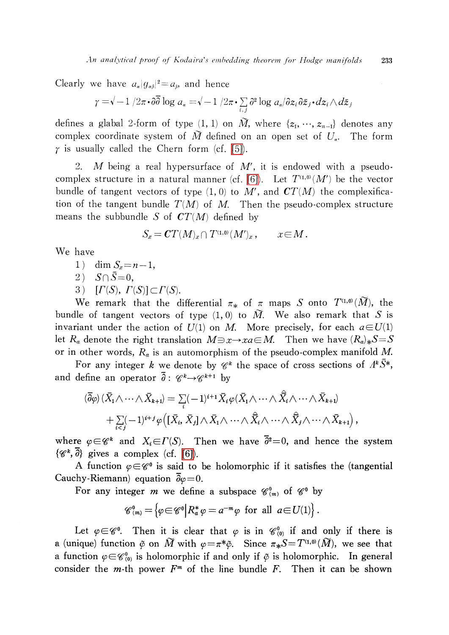Clearly we have  $a_{\scriptscriptstyle \alpha}|g_{\scriptscriptstyle \alpha\beta}|^{2}\!=\!a_{\!\scriptscriptstyle\beta}^{},$  and hence

$$
\gamma = \sqrt{-1/2\pi \cdot \partial \overline{\partial}} \log a_{\alpha} = \sqrt{-1/2\pi \cdot \sum_{i,j} \partial^2 \log a_{\alpha}} \partial z_i \partial \overline{z}_j \cdot dz_i \wedge d\overline{z}_j
$$

defines a glabal 2-form of type  $(1, \, 1)$  on  $\tilde{M}$ , where  $\{z_{1}, \, \cdots, \, z_{n-1}\}$  denotes any complex coordinate system of  $\check{M}$  defined on an open set of  $U_{\scriptscriptstyle a}$ . The form  $\gamma$  is usually called the Chern form (cf. [\[5\]\)](#page-8-4).

2. M being a real hypersurface of  $M'$ , it is endowed with a pseudo-complex structure in a natural manner (cf. [\[6\]\)](#page-8-5). Let  $T^{(1,0)}(M')$  be the vector bundle of tangent vectors of type  $(1, 0)$  to M', and  $CT(M)$  the complexification of the tangent bundle  $T(M)$  of M. Then the pseudo-complex structure means the subbundle S of  $CT(M)$  defined by

$$
S_x = \mathcal{C} T(M)_x \cap T^{(1,0)}(M')_x, \qquad x \in M.
$$

We have

- 1) dim  $S_{x}=n-1$ ,
- 2)  $S \cap \overline{S}=0$ ,
- 3)  $[\Gamma(S), \Gamma(S)] \subset \Gamma(S)$ .

We remark that the differential  $\pi_{*}$  of  $\pi$  maps S onto  $T^{\text{\tiny{(1,0)}}}(\widetilde{M}),$  the bundle of tangent vectors of type  $(1,\,0)$  to  $\widetilde{M}$ . We also remark that  $S$  is invariant under the action of  $U(1)$  on M. More precisely, for each  $a\in U(1)$ let  $R_{a}$  denote the right translation  $M\Rightarrow x\rightarrow xa\in M$ . Then we have  $(R_{a})_{*}S=S$ or in other words,  $R_{a}$  is an automorphism of the pseudo-complex manifold M.

For any integer  $k$  we denote by  $\mathscr{C}^{k}$  the space of cross sections of  $\varLambda^{k}\bar{S}^{*},$ and define an operator  $\overline{\partial}$  :  $\mathscr{C}^{k}\rightarrow \mathscr{C}^{k+1}$  by

$$
(\overline{\partial}\varphi) \left( \overline{X}_1 \wedge \cdots \wedge \overline{X}_{k+1} \right) = \sum_i (-1)^{i+1} \overline{X}_i \varphi(\overline{X}_1 \wedge \cdots \wedge \overline{\widehat{X}}_i \wedge \cdots \wedge \overline{X}_{k+1})
$$

$$
+ \sum_{i < j} (-1)^{i+j} \varphi \left( \left[ \overline{X}_i, \overline{X}_j \right] \wedge \overline{X}_1 \wedge \cdots \wedge \overline{\widehat{X}}_i \wedge \cdots \wedge \overline{\widehat{X}}_j \wedge \cdots \wedge \overline{X}_{k+1} \right),
$$

where  $\varphi\!\in\!\mathscr{C}^{\bm{k}}$  and  $X_{i}\!\in\!\Gamma(S)$ . Then we have  $\overline{\partial}^{2}=0$ , and hence the system  $\{\mathscr{C}^{k}, \overline{\partial}\}$  gives a complex (cf. [\[6\]\)](#page-8-5).

A function  $\varphi \in \mathscr{C}^{0}$  is said to be holomorphic if it satisfies the (tangential Cauchy-Riemann) equation  $\overline{\partial}\varphi=0$ .

For any integer m we define a subspace  $\mathscr{C}_{(m)}^{0}$  of  $\mathscr{C}^{0}$  by

$$
\mathscr{C}_{(m)}^0 = \left\{ \varphi \in \mathscr{C}^0 \middle| R_a^* \varphi = a^{-m} \varphi \text{ for all } a \in U(1) \right\}.
$$

Let  $\varphi\!\in \!\mathscr{C}^0$ . Then it is clear that  $\varphi$  is in  $\mathscr{C}_{(0)}^{0}$  if and only if there is a (unique) function  $\tilde{\varphi}$  on  $\tilde{M}$  with  $\varphi=\pi^{*}\tilde{\varphi}$ . Since  $\pi_{*}S=T^{(1,0)}(\tilde{M})$ , we see that a function  $\varphi \in \mathscr{C}_{(0)}^{0}$  is holomorphic if and only if  $\tilde{\varphi}$  is holomorphic. In general consider the *m*-th power  $F^{m}$  of the line bundle F. Then it can be shown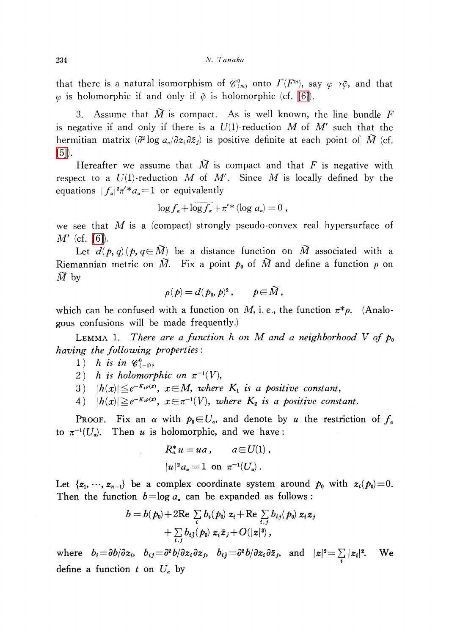that there is a natural isomorphism of  $\mathscr{C}_{(m)}^{0}$  onto  $\Gamma(F^{m})$ , say  $\varphi\rightarrow\tilde{\varphi}$ , and that  $\varphi$  is holomorphic if and only if  $\tilde{\varphi}$  is holomorphic (cf. [\[6\]\)](#page-8-5).

3. Assume that  $\tilde{M}$  is compact. As is well known, the line bundle F is negative if and only if there is a  $U(1)$ -reduction M of M' such that the hermitian matrix  $\left( \frac{\partial^{2} \log a_{i}/\partial z_{i}\partial\bar{z}_{j} \right)$  is positive definite at each point of  $\tilde{M}$  (cf.  $[5]$ ).

Hereafter we assume that  $\tilde{M}$  is compact and that F is negative with respect to a  $U(1)$ -reduction M of M'. Since M is locally defined by the equations  $|f_{\alpha}|^{2}\pi'^{*}a_{\alpha}=1$  or equivalently

$$
\log f_{\alpha} + \log f_{\alpha} + \pi^{\prime} * (\log a_{\alpha}) = 0,
$$

we see that M is a (compact) strongly pseudo-convex real hypersurface of  $M'$  (cf. [\[6\]\)](#page-8-5).

Let  $d(p, q)(p, q\in\widetilde{M})$  be a distance function on  $\widetilde{M}$  associated with a Riemannian metric on  $\check{M}$ . Fix a point  $p_{0}$  of  $\check{M}$  and define a function  $\rho$  on  $\widetilde{M}$  by

$$
\rho(p)\,{=}\, d(\mathbf{p_0},p)^{\mathbf{2}}\,,\qquad p\,{\in}\,\widetilde{M}\,,
$$

which can be confused with a function on M, i. e., the function  $\pi^{*}\rho$ . (Analogous confusions will be made frequently.)

<span id="page-2-0"></span>LEMMA 1. There are a function h on M and a neighborhood V of  $p_{0}$ having the following properties:

- 1) h is in  $\mathscr{C}_{(-1)}^{0}$ ,
- 2) h is holomorphic on  $\pi^{-1}( V )$ ,
- 3)  $|h(x)| \leq e^{-K_{1} \rho(x)}$ ,  $x \in M$ , where  $K_{1}$  is a positive constant,
- 4)  $|h(x)| \geq e^{-K_{2} \rho(x)}$ ,  $x \in \pi^{-1}(V)$ , where  $K_{2}$  is a positive constant.

PROOF. Fix an  $\alpha$  with  $p_{0}\in U_{\alpha}$ , and denote by u the restriction of  $f_{\alpha}$ to  $\pi^{-1}(U_{\alpha})$ . Then u is holomorphic, and we have:

$$
R_a^* u = ua, \qquad a \in U(1),
$$
  

$$
|u|^2 a_{\alpha} = 1 \text{ on } \pi^{-1}(U_{\alpha}).
$$

Let  $\{z_{1},\dots, z_{n-1}\}$  be a complex coordinate system around  $p_{0}$  with  $z_{i}(p_{0})=0$ . Then the function  $b=\log a_{\alpha}$  can be expanded as follows:

$$
b = b(p_0) + 2\text{Re }\sum_i b_i(p_0) z_i + \text{Re }\sum_{i,j} b_{ij}(p_0) z_i z_j + \sum_{i,j} b_{ij}(p_0) z_i \bar{z}_j + O(|z|^3),
$$

where  $b_{i} {=}\partial b/\partial z_{i},\hspace{0.2cm} b_{ij}{=}\partial^{2}b/\partial z_{i}\partial z_{j},\hspace{0.2cm} b_{i\bar{j}}{=}\partial^{2}b/\partial z_{i}\partial\bar{z}_{j},\hspace{0.2cm}\text{and}\hspace{0.2cm} |z|^{2}{=}\sum |z_{i}|^{2}. \hspace{0.2cm} \text{We}$ define a function t on  $U_{\alpha}$  by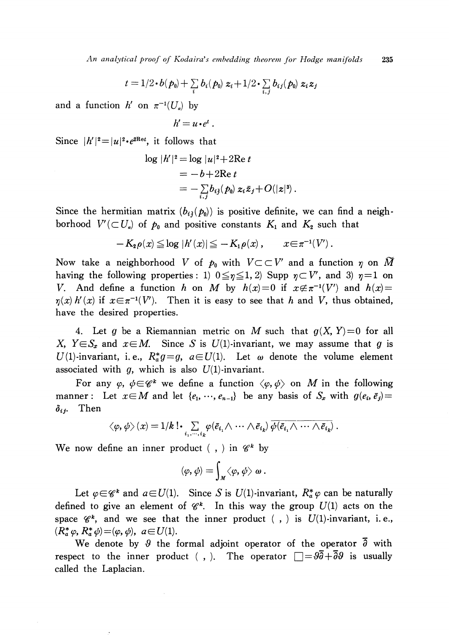$$
t = 1/2 \cdot b(p_0) + \sum_i b_i(p_0) z_i + 1/2 \cdot \sum_{i,j} b_{ij}(p_0) z_i z_j
$$

and a function h' on  $\pi^{-1}(U_{\alpha})$  by

 $h' = u \cdot e^{t}$ .

Since  $|h'|^{2}=|u|^{2}{\boldsymbol \cdot} e^{2{\rm Re} t}$ , it follows that

$$
\log |h'|^2 = \log |u|^2 + 2\text{Re } t
$$
  
= -b + 2\text{Re } t  
= -\sum\_{i,j} b\_{i\bar{j}} (p\_0) z\_i \bar{z}\_j + O(|z|^3).

Since the hermitian matrix  $(b_{ij}(p_{0}))$  is positive definite, we can find a neighborhood  $V'(\subset U_{\alpha})$  of  $p_{0}$  and positive constants  $K_{1}$  and  $K_{2}$  such that

$$
-K_2\rho(x)\leqq \log |h'(x)|\leqq -K_1\rho(x)\,,\qquad x\in\pi^{-1}(V')\,.
$$

Now take a neighborhood V of  $p_{0}$  with  $V\subset\subset V'$  and a function  $\eta$  on  $\widetilde{M}$ having the following properties: 1)  $0\leq\eta\leq 1,2$ ) Supp  $\eta\subset V'$ , and 3)  $\eta=1$  on V. And define a function h on M by  $h(x)=0$  if  $x\notin\pi^{-1}(V')$  and  $h(x)=$  $\eta(x)h'(x)$  if  $x\in\pi^{-1}(V)$ . Then it is easy to see that h and V, thus obtained, have the desired properties.

4. Let g be a Riemannian metric on M such that  $g(X, Y)=0$  for all X,  $Y \in S_{x}$  and  $x \in M$ . Since S is U(1)-invariant, we may assume that g is U(1)-invariant, i.e.,  $R_{a}^{*}g=q$ ,  $a\in U(1)$ . Let  $\omega$  denote the volume element associated with  $q$ , which is also  $U(1)$ -invariant.

For any  $\varphi, \psi\in \mathscr{C}^{k}$  we define a function  $\langle\varphi, \psi\rangle$  on M in the following manner: Let  $x\in M$  and let  $\{e_{1}, \ldots, e_{n-1}\}$  be any basis of  $S_{x}$  with  $g(e_{i},\overline{e}_{j})=$  $\delta_{ij}$ . . Then

$$
\langle \varphi, \psi \rangle(x) = 1/k \, \cdots \sum_{i_1, \cdots, i_k} \varphi(\bar{e}_{i_1} \wedge \cdots \wedge \bar{e}_{i_k}) \, \overline{\psi(\bar{e}_{i_1} \wedge \cdots \wedge \bar{e}_{i_k})} \, .
$$

We now define an inner product (, ) in  $\mathscr{C}^{k}$  by

$$
\langle \varphi, \psi \rangle = \int_M \langle \varphi, \psi \rangle \ \omega \ .
$$

Let  $\varphi \in \mathscr{C}^{k}$  and  $a\in U(1)$ . Since S is U(1)-invariant,  $R_{a}^{*}\varphi$  can be naturally defined to give an element of  $\mathscr{C}^{k}$ . In this way the group  $U(1)$  acts on the space  $\mathscr{C}^{k}$ , and we see that the inner product ( , ) is  $U(1)$ -invariant, i.e.,  $(R_{a}^{*}\varphi, R_{a}^{*}\varphi)=(\varphi, \varphi)$ ,  $a\in U(1)$ .

We denote by  $\vartheta$  the formal adjoint operator of the operator  $\overline{\partial}$  with respect to the inner product (, ). The operator  $\square=\theta\overline{\theta}+\overline{\theta}\theta$  is usually called the Laplacian.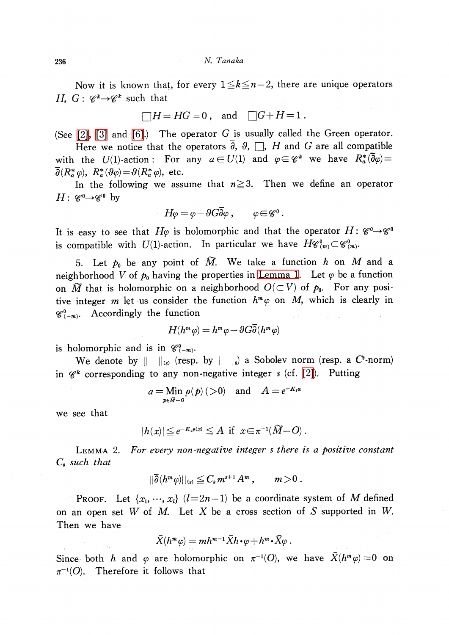Now it is known that, for every  $1\leq k\leq n-2$ , there are unique operators H, G:  $\mathscr{C}^{k}\rightarrow \mathscr{C}^{k}$  such that

$$
\Box H = HG = 0 \,, \text{ and } \Box G + H = 1 \,.
$$

(See [\[2\],](#page-8-1) [\[3\]](#page-8-2) and [\[6\].](#page-8-5)) The operator  $G$  is usually called the Green operator.

Here we notice that the operators  $\overline{\partial}, \vartheta, \,\Box, \,H$  and  $G$  are all compatible with the U(1)-action: For any  $a\in U(1)$  and  $\varphi\in \mathscr{C}^{k}$  we have  $R_{a}^{*}(\overline{\partial}\varphi)=$  $\partial(R_{a}^{*}\varphi),\,\,R_{a}^{*}(\vartheta\varphi)\!=\!\vartheta(R_{a}^{*}\varphi),\,$  etc.

In the following we assume that  $n\geq 3$ . Then we define an operator  $H:\mathscr{C}^{0}\rightarrow\mathscr{C}^{0}$  by

$$
H\varphi = \varphi - 9G\overline{\partial}\varphi \,, \qquad \varphi \in \mathscr{C}^0 \,.
$$

It is easy to see that  $H\varphi$  is holomorphic and that the operator  $H:\mathscr{C}^0\rightarrow \mathscr{C}^0$ is compatible with  $U(1)$ -action. In particular we have  $H\mathscr{C}_{(m)}^{0}\subset \mathscr{C}_{(m)}^{0}.$ 

5. Let  $p_{0}$  be any point of  $\widetilde{M}$ . We take a function h on M and a neighborhood V of  $p_{0}$  having the properties in [Lemma](#page-2-0) 1. Let  $\varphi$  be a function on  $\tilde{M}$  that is holomorphic on a neighborhood  $O(\subset V)$  of  $p_{0}$ . For any positive integer m let us consider the function  $h^{m}\varphi$  on M, which is clearly in  $\mathscr{C}_{(-m)}^{0}$ . Accordingly the function

$$
H(h^m \varphi) = h^m \varphi - 9G\overline{\partial}(h^m \varphi)
$$

is holomorphic and is in  $\mathscr{C}_{(-m)}^{0}$ .

We denote by  $|| \cdot ||_{(s)}$  (resp. by  $|| \cdot ||_{s}$ ) a Sobolev norm (resp. a  $C^{s}$ -norm) in  $\mathscr{C}^{k}$  corresponding to any non-negative integer s (cf. [\[2\]\)](#page-8-1). Putting

$$
a = \min_{p \in \widetilde{M}-0} \rho(p) \, (>0) \quad \text{and} \quad A = e^{-K_1 a}
$$

we see that

$$
|h(x)| \leq e^{-K_1 \rho(x)} \leq A \quad \text{if} \quad x \in \pi^{-1}(\widetilde{M} - O) \; .
$$

<span id="page-4-0"></span>Lemma 2. For every non-negative integer s there is a positive constant  $C_{s}$  such that

$$
||\overline{\partial}(h^m\varphi)||_{\langle s\rangle}\leqq C_sm^{s+1}A^m\ ,\qquad m>0\ .
$$

PROOF. Let  $\{x_{1},\dots, x_{l}\}$   $(l=2n-1)$  be a coordinate system of M defined on an open set  $W$  of  $M$ . Let  $X$  be a cross section of  $S$  supported in  $W$ . Then we have

$$
\bar{X}(h^m\varphi)=mh^{m-1}\bar{X}h\boldsymbol{\cdot} \varphi+h^m\boldsymbol{\cdot} \bar{X}\varphi\ .
$$

Since both h and  $\varphi$  are holomorphic on  $\pi^{-1}(O)$ , we have  $\overline{X}(h^{m}\varphi)=0$  on  $\pi^{-1}(O)$ . Therefore it follows that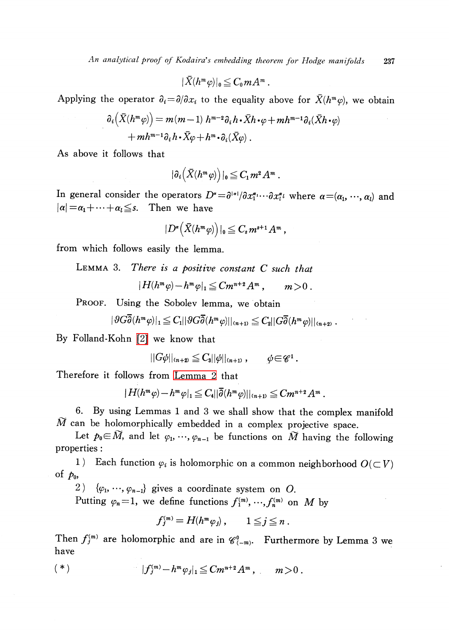An analytical proof of Kodaira's embedding theorem for Hodge manifolds 237

$$
|\bar X(h^m\varphi)|_{\mathsf{0}}\!\le\!C_{\mathsf{0}}\hskip.03cm m\hskip.03cm A^m\hskip.03cm.
$$

Applying the operator  $\partial_{i}{=}\partial/\partial x_{i}$  to the equality above for  $\bar{X}(h^{m}\varphi)$ , we obtain

$$
\partial_i \left( \bar{X}(h^m \varphi) \right) = m(m-1) h^{m-2} \partial_i h \cdot \bar{X} h \cdot \varphi + m h^{m-1} \partial_i (\bar{X} h \cdot \varphi) + m h^{m-1} \partial_i h \cdot \bar{X} \varphi + h^m \cdot \partial_i (\bar{X} \varphi) .
$$

As above it follows that

$$
|\partial_i(\bar{X}(h^m\varphi))|_0\leqq C_1 m^2 A^m.
$$

In general consider the operators  $D^{\alpha}=\partial^{|\alpha|}/\partial x_{1}^{\alpha_{1}}\cdots\partial x_{l}^{\alpha_{l}}$  where  $\alpha=(\alpha_{1} ,\dots, \alpha_{l})$  and  $|\alpha|\!=\!\alpha_{1}\!+\!\cdots\!+\!\alpha_{l}\!\leq\!s.$  Then we have

$$
|D^{\alpha}\big(\bar{X}(h^m\varphi)\big)|_0\leqq C_s\,m^{s+1}\,A^m\,,
$$

from which follows easily the lemma.

LEMMA 3. There is a positive constant  $C$  such that

$$
|H(h^m\varphi)-h^m\varphi|_1\leqq Cm^{n+2}A^m\,,\qquad m>0\;.
$$

PROOF. Using the Sobolev lemma, we obtain

$$
|\partial G\overline{\partial}(h^{m}\varphi)|_{1}\leqq C_{1}||\partial G\overline{\partial}(h^{m}\varphi)||_{(n+1)}\leqq C_{2}||G\overline{\partial}(h^{m}\varphi)||_{(n+2)}\;.
$$

By Folland-Kohn [\[2\]](#page-8-1) we know that

$$
||G\phi||_{(n+2)}\leqq C_3||\phi||_{(n+1)},\qquad \phi\!\in\!\mathscr{C}^1\,.
$$

Therefore it follows from [Lemma](#page-4-0) 2 that

$$
|H(h^m\varphi)-h^m\varphi|_1\leqq C_4||\overline{\partial}(h^m\varphi)||_{(n+1)}\leqq Cm^{n+2}A^m.
$$

6. By using Lemmas <sup>1</sup> and 3 we shall show that the complex manifold  $\widetilde{M}$  can be holomorphically embedded in a complex projective space.

Let  $p_{0} {\in}\check{M}$ , and let  $\varphi_{1} , \cdots , \varphi_{n-1}$  be functions on  $\widetilde{M}$  having the following properties :

1) Each function  $\varphi_{i}$  is holomorphic on a common neighborhood  $O(\subset V)$ of  $p_{0}$ ,

2)  $\{\varphi_{1}$ ,  $\cdots$ ,  $\varphi_{n-1}\}$  gives a coordinate system on O.

Putting  $\varphi_{n}=1 ,$  we define functions  $f_{1}^{(m)}, \, \cdots, f_{n}^{(m)}$  on  $M$  by

$$
f_j^{(m)} = H(h^m \varphi_j) , \qquad 1 \leqq j \leqq n .
$$

Then  $f_{j}^{(m)}$  are holomorphic and are in  $\mathscr{C}_{(-m)}^{0}$ . Furthermore by Lemma 3 we have

(\*) 
$$
|f_j^{(m)} - h^m \varphi_j|_1 \leq C m^{n+2} A^m, \qquad m > 0.
$$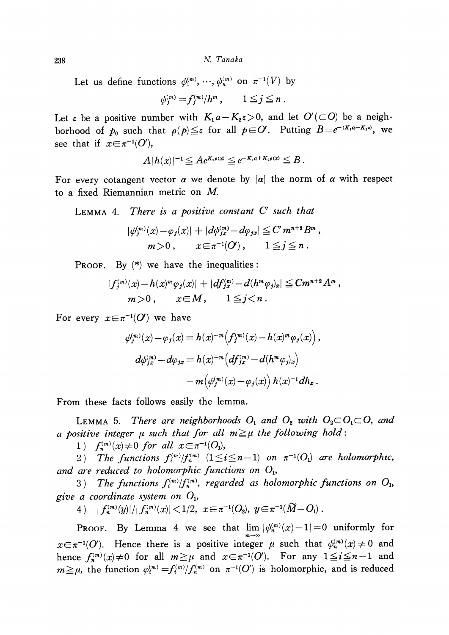238 N. Tanaka

Let us define functions  $\phi_{1}^{(m)}, \, \cdots, \, \phi_{n}^{(m)}$  on  $\pi^{-1}( V)$  by

 $\psi_{j}^{(m)}=f_{j}^{(m)}/h^{m}$ ,  $1\leq j\leq n$ .

Let  $\varepsilon$  be a positive number with  $K_{1}a-K_{2}\varepsilon>0$ , and let  $O'(\subset O)$  be a neighborhood of  $p_{0}$  such that  $\rho(p)\leqq\varepsilon$  for all  $p\!\in\!O'.$  Putting  $B\!=\!e^{-(K_{1}a-K_{2}\epsilon)},$  we see that if  $x \in \pi^{-1}(O')$ ,

$$
A|h(x)|^{-1}\leqq Ae^{K_2\rho(x)}\leqq e^{-K_1a+K_2\rho(x)}\leqq B\,.
$$

For every cotangent vector  $\alpha$  we denote by  $|\alpha|$  the norm of  $\alpha$  with respect to a fixed Riemannian metric on M.

LEMMA 4. There is a positive constant  $C'$  such that

$$
|\psi_j^{(m)}(x) - \varphi_j(x)| + |d\psi_{jx}^{(m)} - d\varphi_{jx}| \leqq C' m^{n+3} B^m,
$$
  
\n
$$
m > 0, \qquad x \in \pi^{-1}(O'), \qquad 1 \leqq j \leqq n.
$$

PROOF. By  $(*)$  we have the inequalities:

$$
|f_j^{(m)}(x) - h(x)^m \varphi_j(x)| + |df_{jx}^{(m)} - d(h^m \varphi_j)_x| \leq C m^{n+2} A^m,
$$
  
\n $m > 0$ ,  $x \in M$ ,  $1 \leq j < n$ .

For every  $x \in \pi^{-1}(O')$  we have

$$
\begin{array}{c}\phi_j^{(m)}(x)-\varphi_j(x)=h(x)^{-m}\bigl(f_j^{(m)}(x)-h(x)^m\varphi_j(x)\bigr)\,,\\ \\ d\phi_{jx}^{(m)}-d\varphi_{jx}=h(x)^{-m}\bigl(df_{jx}^{(m)}-d(h^m\varphi_{j})_x\bigr)\\ \\ -m\bigl(\varphi_j^{(m)}(x)-\varphi_j(x)\bigr)\,h(x)^{-1}dh_x\,. \end{array}
$$

From these facts follows easily the lemma.

<span id="page-6-0"></span>LEMMA 5. There are neighborhoods  $O_{1}$  and  $O_{2}$  with  $O_{2}\subset O_{1}\subset O,$  and a positive integer  $\mu$  such that for all  $m \geq \mu$  the following hold:

1)  $f_{n}^{(m)}(x)\neq0$  for all  $x\in\pi^{-1}(O_1)$ ,

2) The functions  $f_{i}^{(m)}/f_{n}^{(m)}$   $(1\leq i\leq n-1)$  on  $\pi^{-1}(O_{1})$  are holomorphic, and are reduced to holomorphic functions on  $O_{\rm l},$ 

 $3)$  . The functions  $f_i^{(m)}/\!f_{n}^{(m)},$  regarded as holomorphic functions on  $O_{1},$ give a coordinate system on  $O_{1}$ ,

4)  $|f_{n}^{(m)}(y)|/|f_{n}^{(m)}(x)|<1/2, x\in\pi^{-1}(O_{2}), y\in\pi^{-1}(\widetilde{M}-O_{1})$ .

Proof. By Lemma 4 we see that  $\lim_{m\to\infty}|\phi_{n}^{(m)}(x)-1|=0$  uniformly for  $x\in\pi^{-1}(O)$ . Hence there is a positive integer  $\mu$  such that  $\phi_{n}^{(m)}(x)\neq 0$  and hence  $f_{n}^{(m)}(x)\neq 0$  for all  $m\geq\mu$  and  $x\in\pi^{-1}(O')$ . For any  $1\leq i\leq n-1$  and  $m\geq\mu$ , the function  $\varphi_{i}^{(m)}=f_{i}^{(m)}/f_{n}^{(m)}$  on  $\pi^{-1}(O')$  is holomorphic, and is reduced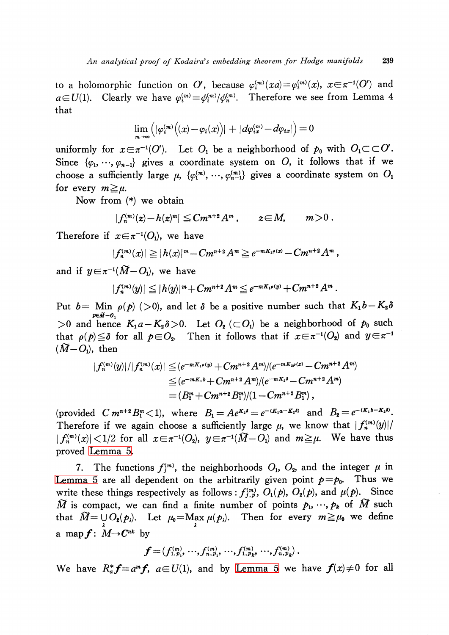to a holomorphic function on O', because  $\varphi_{i}^{(m)}(x) = \varphi_{i}^{(m)}(x) , x \in \pi^{-1}(O')$  and  $a\!\in\! U\!(1)$ . Clearly we have  $\varphi_{i}^{(m)}\!=\!\varphi_{i}^{(m)}/\varphi_{n}^{(m)}$ . Therefore we see from Lemma 4 that

$$
\lim_{m\to\infty}\left(|\varphi_i^{(m)}\big((x)-\varphi_i(x)\big)|+|d\varphi_{ix}^{(m)}-d\varphi_{ix}|\right)=0
$$

uniformly for  $x\in\pi^{-1}(O')$ . Let  $O_{1}$  be a neighborhood of  $p_{0}$  with  $O_{1}\subset\subset O'.$ Since  $\{\varphi_{1}$ ,  $\cdots$ ,  $\varphi_{n-1}\}$  gives a coordinate system on O, it follows that if we choose a sufficiently large  $\mu$ ,  $\{\varphi_{1}^{(m)}, \dots, \varphi_{n-1}^{(m)}\}$  gives a coordinate system on  $O_{1}$ for every  $m \geq \mu$ .

Now from  $(*)$  we obtain

$$
|f_n^{(m)}(z)-h(z)^m|\leq Cm^{n+2}A^m\,,\qquad z\!\in\!M,\qquad m\!>\!0\;.
$$

Therefore if  $x\in\pi^{-1}(O_{1})$ , we have

$$
|f_n^{(m)}(x)| \geq |h(x)|^m - Cm^{n+2}A^m \geq e^{-mK_2\rho(x)} - Cm^{n+2}A^m,
$$

and if  $y\!\in\!\pi^{-1}(\v{M}\!-\!O_{\!1}\!),$  we have

$$
|f_n^{(m)}(y)| \leq |h(y)|^m + Cm^{n+2}A^m \leq e^{-mK_1\rho(y)} + Cm^{n+2}A^m.
$$

Put  $b=$  Min  $\rho(p)(>0)$ , and let  $\delta$  be a positive number such that  $K_{1}b-K_{2}\delta$  $>0$  and hence  $K_{1}a-K_{2}\delta>0$ . Let  $O_{2}(\subset O_{1})$  be a neighborhood of  $p_{0}$  such that  $\rho(p)\leq\delta$  for all  $p\in O_{2}$ . Then it follows that if  $x\in\pi^{-1}(O_{2})$  and  $y\in\pi^{-1}$  $(M-O<sub>1</sub>)$ , then

$$
\begin{aligned}|f_n^{(m)}(y)|/|f_n^{(m)}(x)| &\leq (e^{-mK_1\rho(y)}+Cm^{n+2}A^m)/(e^{-mK_2\rho(x)}-Cm^{n+2}A^m)\\ &\leq (e^{-mK_1\rho}+Cm^{n+2}A^m)/(e^{-mK_2\rho}-Cm^{n+2}A^m)\\ &= (B_2^m+Cm^{n+2}B_1^m)/(1-Cm^{n+2}B_1^m)\,,\end{aligned}
$$

 $\pmod{C\ m^{n+2}B_{1}^{m} < 1}, \;\; \text{where} \;\; B_{1}=Ae^{K_{2}\delta}=e^{-(K_{1}a-K_{2}\delta)} \;\; \text{and} \;\; B_{2}=e^{-(K_{1}b-K_{2}\delta)}.$ Therefore if we again choose a sufficiently large  $\mu$ , we know that  $|f_{n}^{(m)}(y)|/$  $|f_{n}^{(m)}(x)|<1/2$  for all  $x\in\pi^{-1}(O_{2})$ ,  $y\in\pi^{-1}(\widetilde{M}-O_{1})$  and  $m\geq\mu$ . We have thus proved [Lemma](#page-6-0) 5.

7. The functions  $f_{j}^{(m)}$ , the neighborhoods  $O_{1}$ ,  $O_{2}$ , and the integer  $\mu$  in [Lemma](#page-6-0) 5 are all dependent on the arbitrarily given point  $p=p_{0}$ . Thus we write these things respectively as follows:  $f_{j,p}^{(m)}$ ,  $O_{1}(p)$ ,  $O_{2}(p)$ , and  $\mu(p)$ . Since  $\widetilde{M}$  is compact, we can find a finite number of points  $p_{1}$ ,  $\cdots$ ,  $p_{k}$  of  $\widetilde{M}$  such that  $\widetilde{M}=\bigcup_{\lambda}O_{2}(p_{\lambda})$ . Let  $\mu_{0}={\rm Max}_{\lambda}\mu(p_{\lambda})$ . Then for every  $m\geq\mu_{0}$  we define a map  $f: M \rightarrow C^{nk}$  by

$$
\boldsymbol{f} = (f_{1,p_1}^{(m)}, \ldots, f_{n,p_1}^{(m)}, \ldots, f_{1,p_k}^{(m)}, \ldots, f_{n,p_k}^{(m)})
$$

We have  $R_{a}^{*}f=a^{m}f$ ,  $a\in U(1)$ , and by [Lemma](#page-6-0) 5 we have  $f(x)\neq 0$  for all